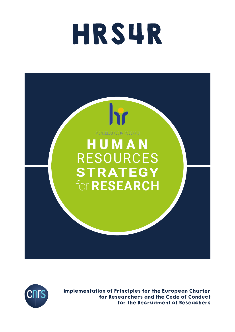# HRS4R





Implementation of Principles for the European Charter for Researchers and the Code of Conduct for the Recruitment of Reseachers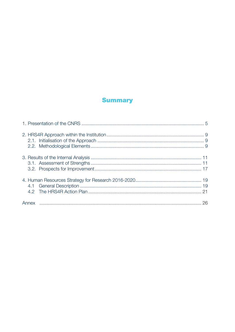# **Summary**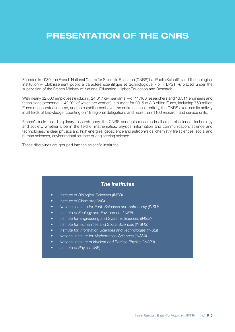# **PRESENTATION OF THE CNRS**

Founded in 1939, the French National Centre for Scientific Research (CNRS) is a Public Scientific and Technological Institution (« Établissement public à caractère scientifique et technologique » or « EPST »), placed under the supervision of the French Ministry of National Education, Higher Education and Research.

With nearly 32,000 employees (including 24,617 civil servants —or 11,106 researchers and 13,511 engineers and technicians personnel— 42.9% of which are women), a budget for 2015 of 3.3 billion Euros, including 769 million Euros of generated income, and an establishment over the entire national territory, the CNRS exercises its activity in all fields of knowledge, counting on 18 regional delegations and more than 1100 research and service units.

France's main multidisciplinary research body, the CNRS conducts research in all areas of science, technology and society, whether it be in the field of mathematics, physics, information and communication, science and technologies, nuclear physics and high energies, geoscience and astrophysics, chemistry, life sciences, social and human sciences, environmental science or engineering science.

These disciplines are grouped into ten scientific institutes.

# **The institutes**

- Institute of Biological Sciences (INSB)
- Institute of Chemistry (INC)
- National Institute for Earth Sciences and Astronomy (INSU)
- Institute of Ecology and Environment (INEE)
- Institute for Engineering and Systems Sciences (INSIS)
- Institute for Humanities and Social Sciences (INSHS)
- Institute for Information Sciences and Technologies (INS2I)
- National Institute for Mathematical Sciences (INSMI)
- National Institute of Nuclear and Particle Physics (IN2P3)
- Institute of Physics (INP)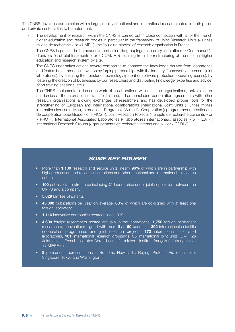The CNRS develops partnerships with a large plurality of national and international research actors in both public and private sectors. It is to be noted that:

- The development of research within the CNRS is carried out in close connection with all of the French higher education and research bodies in particular in the framework of Joint Research Units (« unités mixtes de recherche » or « UMR »), the "building blocks" of research organisation in France.
- The CNRS is present in the academic and scientific groupings, especially federations (« Communautés d'universités et établissements » or « COMUE ») resulting from the restructuring of the national higher education and research system by site.
- The CNRS undertakes actions toward companies to enhance the knowledge derived from laboratories and fosters breakthrough innovation by forging partnerships with the industry (framework agreement, joint laboratories), by ensuring the transfer of technology (patent or software protection, operating license), by fostering the creation of businesses by our researchers and distributing knowledge (expertise and advice, short training sessions, etc.).
- The CNRS implements a dense network of collaborations with research organisations, universities or academies at the international level. To this end, it has concluded cooperation agreements with other research organisations allowing exchanges of researchers and has developed proper tools for the strengthening of European and international collaborations [International Joint Units (« unités mixtes internationales » or « UMI »), International Programs of Scientific Cooperation (« programmes internationaux de coopération scientifique » or « PICS »), Joint Research Projects (« projets de recherche conjoints » or « PRC »), International Associated Laboratories (« laboratoires internationaux associés » or « LIA »), International Research Groups (« groupements de recherche internationaux « or « GDRI »)].

# *SOME KEY FIGURES*

- More than **1,100** research and service units, nearly **96%** of which are in partnership with higher education and research institutions and other – national and international – research actors
- **100** public/private structures including **21** laboratories under joint supervision between the CNRS and a company
- **5,629** families of patents
- **43,000** publications per year on average, **60%** of which are co-signed with at least one foreign laboratory
- **1,116** innovative companies created since 1999
- **4,600** foreign researchers hosted annually in the laboratories, **1,750** foreign permanent researchers, conventions signed with more than **60** countries, **392** international scientific cooperation programmes and joint research projects, **172** international associated laboratories, **101** international research groupings, **35** international joint units (UMI), **26** Joint Units - French Institutes Abroad (« unités mixtes - Instituts français à l'étranger » or « UMIFRE » )
- **8** permanent representations in Brussels, New Delhi, Beijing, Pretoria, Rio de Janeiro, Singapore, Tokyo and Washington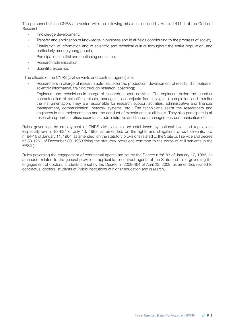The personnel of the CNRS are vested with the following missions, defined by Article L411-1 of the Code of Research:

- Knowledge development,
- Transfer and application of knowledge in business and in all fields contributing to the progress of society;
- Distribution of information and of scientific and technical culture throughout the entire population, and particularly among young people,
- Participation in initial and continuing education,
- Research administration,
- Scientific expertise.

The officers of the CNRS (civil servants and contract agents) are:

- Researchers in charge of research activities: scientific production, development of results, distribution of scientific information, training through research (coaching);
- Engineers and technicians in charge of research support activities: The engineers define the technical characteristics of scientific projects, manage these projects from design to completion and monitor the instrumentation. They are responsible for research support activities: administrative and financial management, communication, network systems, etc.; The technicians assist the researchers and engineers in the implementation and the conduct of experiments at all levels. They also participate in all research support activities: secretariat, administrative and financial management, communication etc.

Rules governing the employment of CNRS civil servants are established by national laws and regulations (especially law n° 83-634 of July 13, 1983, as amended, on the rights and obligations of civil servants, law n° 84-16 of January 11, 1984, as amended, on the statutory provisions related to the State civil service and decree n° 83-1260 of December 30, 1983 fixing the statutory provisions common to the corps of civil servants in the EPSTs).

Rules governing the engagement of contractual agents are set by the Decree n°86-83 of January 17, 1986, as amended, related to the general provisions applicable to contract agents of the State and rules governing the engagement of doctoral students are set by the Decree n° 2009-464 of April 23, 2009, as amended, related to contractual doctoral students of Public institutions of higher education and research.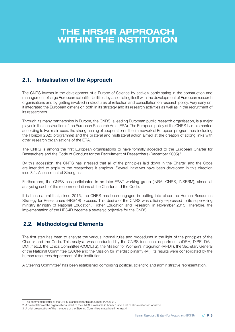# **THE HRS4R APPROACH WITHIN THE INSTITUTION**

# **2.1. Initialisation of the Approach**

The CNRS invests in the development of a Europe of Science by actively participating in the construction and management of large European scientific facilities, by associating itself with the development of European research organisations and by getting involved in structures of reflection and consultation on research policy. Very early on, it integrated the European dimension both in its strategy and its research activities as well as in the recruitment of its researchers.

Through its many partnerships in Europe, the CNRS, a leading European public research organisation, is a major player in the construction of the European Research Area (ERA). The European policy of the CNRS is implemented according to two main axes: the strengthening of cooperation in the framework of European programmes (including the Horizon 2020 programme) and the bilateral and multilateral action aimed at the creation of strong links with other research organisations of the ERA.

The CNRS is among the first European organisations to have formally acceded to the European Charter for Researchers and the Code of Conduct for the Recruitment of Researchers (December 2005).<sup>1</sup>

By this accession, the CNRS has stressed that all of the principles laid down in the Charter and the Code are intended to apply to the researchers it employs. Several initiatives have been developed in this direction (see 3.1. Assessment of Strengths).

Furthermore, the CNRS has participated in an inter-EPST working group (INRA, CNRS, INSERM), aimed at analysing each of the recommendations of the Charter and the Code.

It is thus natural that, since 2015, the CNRS has been engaged in putting into place the Human Resources Strategy for Researchers (HRS4R) process. This desire of the CNRS was officially expressed to its supervising ministry (Ministry of National Education, Higher Education and Research) in November 2015. Therefore, the implementation of the HRS4R became a strategic objective for the CNRS.

# **2.2. Methodological Elements**

The first step has been to analyse the various internal rules and procedures in the light of the principles of the Charter and the Code. This analysis was conducted by the CNRS functional departments (DRH, DIRE, DAJ, DCIF,<sup>2</sup> etc.), the Ethics Committee (COMETS), the Mission for Women's Integration (MPDF), the Secretary General of the National Committee (SGCN) and the Mission for Interdisciplinarity (MI). Its results were consolidated by the human resources department of the institution.

A Steering Committee<sup>3</sup> has been established comprising political, scientific and administrative representation.

<sup>1</sup> The commitment letter of the CNRS is annexed to this document (Annex 2) .

<sup>2</sup> A presentation of the organisational chart of the CNRS is available in Annex 1 and a list of abbreviations in Annex 5.

<sup>3</sup> A brief presentation of the members of the Steering Committee is available in Annex 4.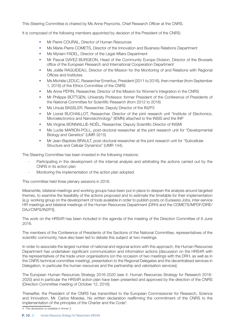This Steering Committee is chaired by Ms Anne Peyroche, Chief Research Officer at the CNRS.

It is composed of the following members appointed by decision of the President of the CNRS:

- Mr Pierre COURAL, Director of Human Resources
- Ms Marie-Pierre COMETS, Director of the Innovation and Business Relations Department
- Ms Myriam FADEL, Director of the Legal Affairs Department
- Mr Pascal DAYEZ-BURGEON, Head of the Community Europe Division, Director of the Brussels office of the European Research and International Cooperation Department
- Ms Joëlle RAGUIDEAU, Director of the Mission for the Monitoring of and Relations with Regional Offices and Institutes
- Ms Michèle LEDUC, Researcher Emeritus, President (2011 to 2016), then member (from September 1, 2016) of the Ethics Committee of the CNRS
- Ms Anne PÉPIN, Researcher, Director of the Mission for Women's Integration in the CNRS
- Mr Philippe BÜTTGEN, University Professor, former President of the Conference of Presidents of the National Committee for Scientific Research (from 2012 to 2016)
- Ms Ursula BASSLER, Researcher, Deputy Director of the IN2P3
- Mr Lionel BUCHAILLOT, Researcher, Director of the joint research unit "Institute of Electronics, Microelectronics and Nanotechnology" (IEMN) attached to the INSIS and the INP
- Ms Virginie BONNAILLIE-NOËL, Researcher, Deputy Scientific Director of INSMI
- Ms Lucile MARION-POLL, post-doctoral researcher at the joint research unit for "Developmental Biology and Genetics" (UMR 3215)
- Mr Jean-Baptiste BRAULT, post-doctoral researcher at the joint research unit for "Subcellular Structure and Cellular Dynamics" (UMR 144).

The Steering Committee has been invested in the following missions:

- Participating in the development of the internal analysis and arbitrating the actions carried out by the CNRS in its action plan
- Monitoring the implementation of the action plan adopted.

This committee held three plenary sessions in 2016.

Meanwhile, bilateral meetings and working groups have been put in place to deepen the analysis around targeted themes, to examine the feasibility of the actions proposed and to estimate the timetable for their implementation [e.g. working group on the development of tools available in order to publish posts on Euraxess Jobs, inter-service HR meetings and bilateral meetings of the Human Resources Department (DRH) and the COMETS/MPDF/DIRE/ DAJ/CNPS/IN2P3].

The work on the HRS4R has been included in the agenda of the meeting of the Direction Committee of 8 June 2016.

The members of the Conference of Presidents of the Sections of the National Committee, representatives of the scientific community, have also been led to debate this subject at two meetings.

In order to associate the largest number of national and regional actors with this approach, the Human Resources Department has undertaken significant communication and information actions [discussion on the HRS4R with the representatives of the trade union organisations (on the occasion of two meetings with the DRH, as well as in the CNRS technical committee meeting), presentation to the Regional Delegates and the decentralised services in Delegation, in particular the human resources and the partnership and valorisation services].

The European Human Resources Strategy 2016-2020 (see 4. Human Resources Strategy for Research 2016- 2020) and in particular the HRS4R action plan have been presented and approved by the direction of the CNRS (Direction Committee meeting of October 12, 2016).

Thereafter, the President of the CNRS has transmitted to the European Commissioner for Research, Science and Innovation, Mr. Carlos Moedas, his written declaration reaffirming the commitment of the CNRS to the implementation of the principles of the Charter and the Code<sup>4</sup>.

4 This declaration is available in Annex 3.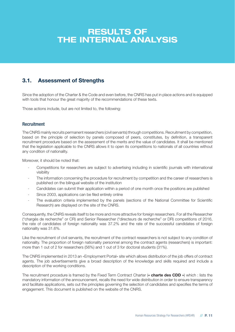# **RESULTS OF THE INTERNAL ANALYSIS**

# **3.1. Assessment of Strengths**

Since the adoption of the Charter & the Code and even before, the CNRS has put in place actions and is equipped with tools that honour the great majority of the recommendations of these texts.

Those actions include, but are not limited to, the following:

# **Recruitment**

The CNRS mainly recruits permanent researchers (civil servants) through competitions. Recruitment by competition, based on the principle of selection by panels composed of peers, constitutes, by definition, a transparent recruitment procedure based on the assessment of the merits and the value of candidates. It shall be mentioned that the legislation applicable to the CNRS allows it to open its competitions to nationals of all countries without any condition of nationality.

Moreover, it should be noted that:

- Competitions for researchers are subject to advertising including in scientific journals with international visibility
- The information concerning the procedure for recruitment by competition and the career of researchers is published on the bilingual website of the institution
- Candidates can submit their application within a period of one month once the positions are published
- Since 2003, applications can be filed entirely online
- The evaluation criteria implemented by the panels (sections of the National Committee for Scientific Research) are displayed on the site of the CNRS.

Consequently, the CNRS reveals itself to be more and more attractive for foreign researchers. For all the Researcher ("chargés de recherche" or CR) and Senior Researcher ("directeurs de recherche" or DR) competitions of 2016, the rate of candidates of foreign nationality was 37.2% and the rate of the successful candidates of foreign nationality was 31.6%.

Like the recruitment of civil servants, the recruitment of the contract researchers is not subject to any condition of nationality. The proportion of foreign nationality personnel among the contract agents (researchers) is important: more than 1 out of 2 for researchers (56%) and 1 out of 3 for doctoral students (31%).

The CNRS implemented in 2013 an «Employment Portal» site which allows distribution of the job offers of contract agents. The job advertisements give a broad description of the knowledge and skills required and include a description of the working conditions.

The recruitment procedure is framed by the Fixed Term Contract Charter (**« charte des CDD »**) which : lists the mandatory information of the announcement, recalls the need for wide distribution in order to ensure transparency and facilitate applications, sets out the principles governing the selection of candidates and specifies the terms of engagement. This document is published on the website of the CNRS.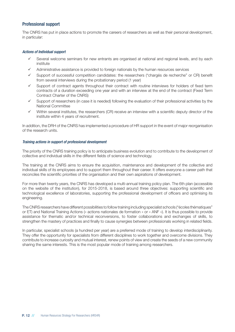# Professional support

The CNRS has put in place actions to promote the careers of researchers as well as their personal development, in particular:

#### *Actions of Individual support*

- Several welcome seminars for new entrants are organised at national and regional levels, and by each institute
- $\checkmark$  Administrative assistance is provided to foreign nationals by the human resources services
- Support of successful competition candidates: the researchers ("chargés de recherche" or CR) benefit from several interviews during the probationary period (1 year)
- Support of contract agents throughout their contract with routine interviews for holders of fixed term contracts of a duration exceeding one year and with an interview at the end of the contract (Fixed Term Contract Charter of the CNRS)
- Support of researchers (in case it is needed) following the evaluation of their professional activities by the National Committee
- Within several institutes, the researchers (CR) receive an interview with a scientific deputy director of the institute within 4 years of recruitment.

In addition, the DRH of the CNRS has implemented a procedure of HR support in the event of major reorganisation of the research units.

#### *Training actions in support of professional development*

The priority of the CNRS training policy is to anticipate business evolution and to contribute to the development of collective and individual skills in the different fields of science and technology.

The training at the CNRS aims to ensure the acquisition, maintenance and development of the collective and individual skills of its employees and to support them throughout their career. It offers everyone a career path that reconciles the scientific priorities of the organisation and their own aspirations of development.

For more than twenty years, the CNRS has developed a multi-annual training policy plan. The 6th plan (accessible on the website of the institution), for 2015-2018, is based around three objectives: supporting scientific and technological excellence of laboratories, supporting the professional development of officers and optimising its engineering.

The CNRS researchers have different possibilities to follow training including specialist schools ("écoles thématiques" or ET) and National Training Actions (« actions nationales de formation » or « ANF »). It is thus possible to provide assistance for thematic and/or technical reconversions, to foster collaborations and exchanges of skills, to strengthen the mastery of practices and finally to cause synergies between professionals working in related fields.

In particular, specialist schools (a hundred per year) are a preferred mode of training to develop interdisciplinarity. They offer the opportunity for specialists from different disciplines to work together and overcome divisions. They contribute to increase curiosity and mutual interest, renew points of view and create the seeds of a new community sharing the same interests. This is the most popular mode of training among researchers.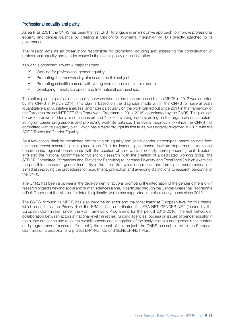# Professional equality and parity

As early as 2001, the CNRS has been the first EPST to engage in an innovative approach to improve professional equality and gender balance by creating a Mission for Women's Integration (MPDF) directly attached to its governance.

The Mission acts as an observatory responsible for promoting, advising and assessing the consideration of professional equality and gender issues in the overall policy of the institution.

Its work is organised around 4 major themes:

- $\checkmark$  Working for professional gender equality
- $\checkmark$  Promoting the transversality of research on this subject
- $\checkmark$  Promoting scientific careers with young women and female role models
- $\checkmark$  Developing French, European and International partnerships.

The action plan for professional equality between women and men proposed by the MPDF in 2013 was adopted by the CNRS in March 2014. This plan is based on the diagnosis made within the CNRS for several years (quantitative and qualitative analyses) and more particularly on the work carried out since 2011 in the framework of the European project INTEGER (7th Framework Programme, 2011-2015) coordinated by the CNRS. This plan can be broken down into forty or so actions around 4 axes: involving leaders, acting on the organisational structure, acting on career progressions and promoting work-life balance. The overall approach to which the CNRS has committed with this equality plan, which has already brought its first fruits, was notably rewarded in 2015 with the APEC Trophy for Gender Equality.

As a key action, shall be mentioned the training on equality and social gender stereotypes, based on data from the most recent research, put in place since 2011 for leaders: governance, institute departments, functional departments, regional departments (with the creation of a network of equality correspondents), unit directors, and also the National Committee for Scientific Research [with the creation of a dedicated working group, the STRIDE Committee ("Strategies and Tactics for Recruiting to Increase Diversity and Excellence") which examines the possible sources of gender inequality in the scientific evaluation process and formulates recommendations aimed at improving the procedures for recruitment, promotion and awarding distinctions to research personnel at the CNRS].

The CNRS has been a pioneer in the development of actions promoting the integration of the gender dimension in research projects beyond social and human sciences alone, in particular through the Gender Challenge Programme (« Défi Genre ») of the Mission for Interdisciplinarity, which has supported interdisciplinary teams since 2012.

The CNRS, through its MPDF, has also become an actor and major facilitator at European level on this theme, which constitutes the Priority 4 of the ERA. It has coordinated the ERA-NET GENDER-NET (funded by the European Commission under the 7th Framework Programme for the period 2013-2016), the first network of collaboration between actors at national level (ministries, funding agencies, bodies) on issues of gender equality in the higher education and research establishments and integration of the analysis of sex and gender in the content and programmes of research. To amplify the impact of this project, the CNRS has submitted to the European Commission a proposal for a project ERA-NET Cofund GENDER-NET Plus.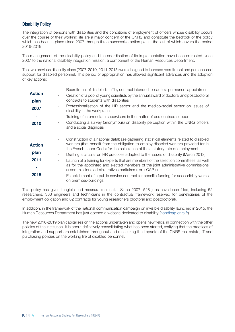# Disability Policy

The integration of persons with disabilities and the conditions of employment of officers whose disability occurs over the course of their working life are a major concern of the CNRS and constitute the bedrock of the policy which has been in place since 2007 through three successive action plans, the last of which covers the period 2016-2019.

The management of the disability policy and the coordination of its implementation have been entrusted since 2007 to the national disability integration mission, a component of the Human Resources Department.

The two previous disability plans (2007-2010, 2011-2015) were designed to increase recruitment and personalised support for disabled personnel. This period of appropriation has allowed significant advances and the adoption of key actions:

|               | Recruitment of disabled staff by contract intended to lead to a permanent appointment                                                                                                                                                                                                        |
|---------------|----------------------------------------------------------------------------------------------------------------------------------------------------------------------------------------------------------------------------------------------------------------------------------------------|
| <b>Action</b> | Creation of a pool of young scientists by the annual award of doctoral and postdoctoral                                                                                                                                                                                                      |
| plan          | contracts to students with disabilities                                                                                                                                                                                                                                                      |
| 2007          | Professionalisation of the HR sector and the medico-social sector on issues of<br>disability in the workplace                                                                                                                                                                                |
|               | Training of intermediate supervisors in the matter of personalised support                                                                                                                                                                                                                   |
| 2010          | Conducting a survey (anonymous) on disability perception within the CNRS officers<br>and a social diagnosis                                                                                                                                                                                  |
| <b>Action</b> | Construction of a national database gathering statistical elements related to disabled<br>$\overline{\phantom{a}}$<br>workers (that benefit from the obligation to employ disabled workers provided for in<br>the French Labor Code) for the calculation of the statutory rate of employment |
| plan          | Drafting a circular on HR practices adapted to the issues of disability (March 2013)                                                                                                                                                                                                         |
| 2011          | Launch of a training for experts that are members of the selection committees, as well<br>as for the appointed and elected members of the joint administrative commissions<br>(« commissions administratives paritaires » or « CAP »)                                                        |
| 2015          | Establishment of a public service contract for specific funding for accessibility works<br>on premises-buildings                                                                                                                                                                             |

This policy has given tangible and measurable results. Since 2007, 528 jobs have been filled, including 52 researchers, 363 engineers and technicians in the contractual framework reserved for beneficiaries of the employment obligation and 82 contracts for young researchers (doctoral and postdoctoral).

In addition, in the framework of the national communication campaign on invisible disability launched in 2015, the Human Resources Department has just opened a website dedicated to disability (handicap.cnrs.fr).

The new 2016-2019 plan capitalises on the actions undertaken and opens new fields, in connection with the other policies of the institution. It is about definitively consolidating what has been started, verifying that the practices of integration and support are established throughout and measuring the impacts of the CNRS real estate, IT and purchasing policies on the working life of disabled personnel.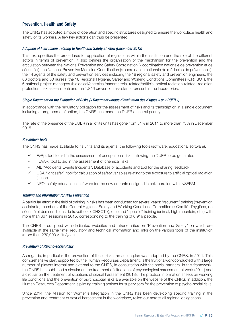# Prevention, Health and Safety

The CNRS has adopted a mode of operation and specific structures designed to ensure the workplace health and safety of its workers. A few key actions can thus be presented:

#### *Adoption of Instructions relating to Health and Safety at Work (December 2012)*

This text specifies the procedures for application of regulations within the institution and the role of the different actors in terms of prevention. It also defines the organisation of the mechanism for the prevention and the articulation between the National Prevention and Safety Coordination (« coordination nationale de prévention et de sécurité »), the National Preventive Medicine Coordination (« coordination nationale de médecine de prévention »), the 44 agents of the safety and prevention services including the 18 regional safety and prevention engineers, the 86 doctors and 50 nurses, the 18 Regional Hygiene, Safety and Working Conditions Committees (CRHSCT), the 6 national project managers (biological/chemical/nanomaterial-related/artificial optical radiation-related, radiation protection, risk assessment) and the 1,846 prevention assistants, present in the laboratories.

#### *Single Document on the Evaluation of Risks (« Document unique d'évaluation des risques » or « DUER »)*

In accordance with the regulatory obligation for the assessment of risks and its transcription in a single document including a programme of action, the CNRS has made the DUER a central priority.

The rate of the presence of the DUER in all of its units has gone from 51% in 2011 to more than 73% in December 2015.

## *Prevention Tools*

The CNRS has made available to its units and its agents, the following tools (software, educational software):

- $\checkmark$  EvRp: tool to aid in the assessment of occupational risks, allowing the DUER to be generated
- $\checkmark$  FEVAR: tool to aid in the assessment of chemical risks
- AIE "Accidents Events Incidents": Database of accidents and tool for the sharing feedback
- $\checkmark$  LISA "light safer": tool for calculation of safety variables relating to the exposure to artificial optical radiation (Laser)
- $\checkmark$  NEO: safety educational software for the new entrants designed in collaboration with INSERM

#### *Training and Information for Risk Prevention*

A particular effort in the field of training in risks has been conducted for several years: "recurrent" training (prevention assistants, members of the Central Hygiene, Safety and Working Conditions Committee (« Comité d'hygiène, de sécurité et des conditions de travail » or « CHSCT »), etc.) and "specific" training (animal, high mountain, etc.) with more than 667 sessions in 2015, corresponding to the training of 6,919 people.

The CNRS is equipped with dedicated websites and Intranet sites on "Prevention and Safety" on which are available at the same time, regulatory and technical information and links on the various tools of the institution (more than 230,000 visits/year).

#### *Prevention of Psycho-social Risks*

As regards, in particular, the prevention of these risks, an action plan was adopted by the CNRS, in 2011. This comprehensive plan, supported by the Human Recourses Department, is the fruit of a work conducted with a large number of players internal and external to the CNRS, in consultation with the social partners. In this framework, the CNRS has published a circular on the treatment of situations of psychological harassment at work (2011) and a circular on the treatment of situations of sexual harassment (2013). The practical information sheets on working life conditions and the prevention of psychosocial risks are available on the website of the CNRS. In addition, the Human Resources Department is piloting training actions for supervisors for the prevention of psycho-social risks.

Since 2014, the Mission for Women's Integration in the CNRS has been developing specific training in the prevention and treatment of sexual harassment in the workplace, rolled out across all regional delegations.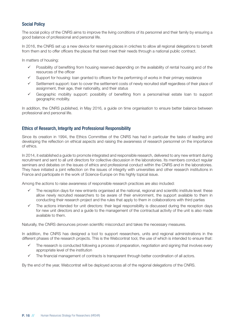# Social Policy

The social policy of the CNRS aims to improve the living conditions of its personnel and their family by ensuring a good balance of professional and personal life.

In 2016, the CNRS set up a new device for reserving places in crèches to allow all regional delegations to benefit from them and to offer officers the places that best meet their needs through a national public contract.

In matters of housing:

- $\checkmark$  Possibility of benefiting from housing reserved depending on the availability of rental housing and of the resources of the officer
- Support for housing: loan granted to officers for the performing of works in their primary residence
- Settlement support: loan to cover the settlement costs of newly recruited staff regardless of their place of assignment, their age, their nationality, and their status
- Geographic mobility support: possibility of benefiting from a personal/real estate loan to support geographic mobility.

In addition, the CNRS published, in May 2016, a guide on time organisation to ensure better balance between professional and personal life.

# Ethics of Research, Integrity and Professional Responsibility

Since its creation in 1994, the Ethics Committee of the CNRS has had in particular the tasks of leading and developing the reflection on ethical aspects and raising the awareness of research personnel on the importance of ethics.

In 2014, it established a guide to promote integrated and responsible research, delivered to any new entrant during recruitment and sent to all unit directors for collective discussion in the laboratories. Its members conduct regular seminars and debates on the issues of ethics and professional conduct within the CNRS and in the laboratories. They have initiated a joint reflection on the issues of integrity with universities and other research institutions in France and participate in the work of Science-Europe on this highly topical issue.

Among the actions to raise awareness of responsible research practices are also included:

- The reception days for new entrants organised at the national, regional and scientific institute level: these allow newly recruited researchers to be aware of their environment, the support available to them in conducting their research project and the rules that apply to them in collaborations with third parties
- The actions intended for unit directors: their legal responsibility is discussed during the reception days for new unit directors and a guide to the management of the contractual activity of the unit is also made available to them.

Naturally, the CNRS denounces proven scientific misconduct and takes the necessary measures.

In addition, the CNRS has designed a tool to support researchers, units and regional administrations in the different phases of the research projects. This is the Webcontrat tool, the use of which is intended to ensure that:

- The research is conducted following a process of preparation, negotiation and signing that involves every appropriate level of the institution
- The financial management of contracts is transparent through better coordination of all actors.

By the end of the year, Webcontrat will be deployed across all of the regional delegations of the CNRS.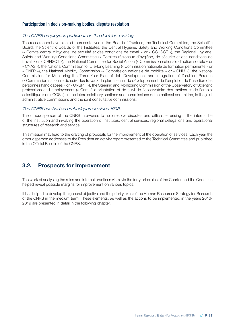# Participation in decision-making bodies, dispute resolution

## *The CNRS employees participate in the decision-making*

The researchers have elected representatives in the Board of Trustees, the Technical Committee, the Scientific Board, the Scientific Boards of the Institutes, the Central Hygiene, Safety and Working Conditions Committee (« Comité central d'hygiène, de sécurité et des conditions de travail » or « CCHSCT »), the Regional Hygiene, Safety and Working Conditions Committee (« Comités régionaux d'hygiène, de sécurité et des conditions de travail » or « CRHSCT »), the National Committee for Social Action (« Commission nationale d'action sociale » or « CNAS »), the National Commission for Life-long Learning (« Commission nationale de formation permanente » or « CNFP »), the National Mobility Commission (« Commission nationale de mobilité » or « CNM »), the National Commission for Monitoring the Three-Year Plan of Job Development and Integration of Disabled Persons (« Commission nationale de suivi des travaux du plan triennal de développement de l'emploi et de l'insertion des personnes handicapées » or « CNSPH »), the Steering and Monitoring Commission of the Observatory of Scientific professions and employement (« Comité d'orientation et de suivi de l'observatoire des métiers et de l'emploi scientifique » or « COS »), in the interdisciplinary sections and commissions of the national committee, in the joint administrative commissions and the joint consultative commissions.

## *The CNRS has had an ombudsperson since 1995.*

The ombudsperson of the CNRS intervenes to help resolve disputes and difficulties arising in the internal life of the institution and involving the operation of institutes, central services, regional delegations and operational structures of research and service.

This mission may lead to the drafting of proposals for the improvement of the operation of services. Each year the ombudsperson addresses to the President an activity report presented to the Technical Committee and published in the Official Bulletin of the CNRS.

# **3.2. Prospects for Improvement**

The work of analysing the rules and internal practices vis-a-vis the forty principles of the Charter and the Code has helped reveal possible margins for improvement on various topics.

It has helped to develop the general objective and the priority axes of the Human Resources Strategy for Research of the CNRS in the medium term. These elements, as well as the actions to be implemented in the years 2016- 2019 are presented in detail in the following chapter.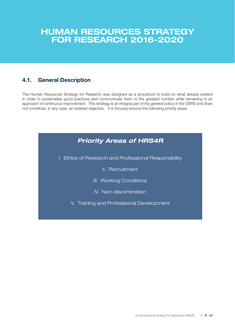# **HUMAN RESOURCES STRATEGY FOR RESEARCH 2016-2020**

# **4.1. General Description**

The Human Resources Strategy for Research was designed as a procedure to build on what already existed in order to systematise good practices and communicate them to the greatest number while remaining in an approach of continuous improvement. This strategy is an integral part of the general policy of the CNRS and does not constitute, in any case, an isolated objective. It is focused around the following priority areas:

| <b>Priority Areas of HRS4R</b>                        |
|-------------------------------------------------------|
| I. Ethics of Research and Professional Responsibility |
| II. Recruitment                                       |
| III. Working Conditions                               |
| IV. Non-discrimination                                |
| V. Training and Professional Development              |
|                                                       |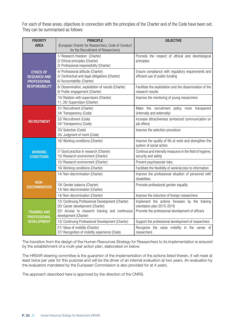For each of these areas, objectives in connection with the principles of the Charter and of the Code have been set. They can be summarised as follows:

| <b>PRIORITY</b><br><b>AREA</b>                                                          | <b>PRINCIPLE</b><br>(European Charter for Researchers, Code of Conduct<br>for the Recruitment of Researchers)                                                    | <b>OBJECTIVE</b>                                                                                                                 |
|-----------------------------------------------------------------------------------------|------------------------------------------------------------------------------------------------------------------------------------------------------------------|----------------------------------------------------------------------------------------------------------------------------------|
|                                                                                         | 1/ Research freedom (Charter)<br>2/ Ethical principles (Charter)<br>3/ Professional responsibility (Charter)                                                     | Promote the respect of ethical and deontological<br>principles                                                                   |
| <b>ETHICS OF</b><br><b>RESEARCH AND</b><br><b>PROFESSIONAL</b><br><b>RESPONSIBILITY</b> | 4/ Professional attitude (Charter)<br>5/ Contractual and legal obligations (Charter)<br>6/ Accountability (Charter)                                              | Ensure compliance with regulatory requirements and<br>efficient use of public funding                                            |
|                                                                                         | 8/ Dissemination, exploitation of results (Charter)<br>9/ Public engagement (Charter)                                                                            | Facilitate the exploitation and the dissemination of the<br>research results                                                     |
|                                                                                         | 10/ Relation with supervisors (Charter)<br>11, 26/ Supervision (Charter)                                                                                         | Improve the mentoring of young researchers                                                                                       |
|                                                                                         | 31/ Recruitment (Charter)<br>34/ Transparency (Code)                                                                                                             | Make the recruitment policy more transparent<br>(internally and externally)                                                      |
| <b>RECRUITMENT</b>                                                                      | 32/ Recruitment (Code)<br>34/ Transparency (Code)                                                                                                                | Increase attractiveness (enhanced communication on<br>job offers)                                                                |
|                                                                                         | 33/ Selection (Code)<br>35/ Judgment of merit (Code)                                                                                                             | Improve the selection procedure                                                                                                  |
|                                                                                         | 16/ Working conditions (Charter)                                                                                                                                 | Improve the quality of life at work and strengthen the<br>system of social action                                                |
| <b>WORKING</b><br><b>CONDITIONS</b>                                                     | 7/ Good practice in research (Charter)<br>15/ Research environment (Charter)                                                                                     | Continue and intensify measures in the field of hygiene,<br>security and safety                                                  |
|                                                                                         | 15/ Research environment (Charter)                                                                                                                               | Prevent psychosocial risks                                                                                                       |
|                                                                                         | 16/ Working conditions (Charter)                                                                                                                                 | Facilitate the flexibility of work/access to information                                                                         |
|                                                                                         | 14/ Non-discrimination (Charter)                                                                                                                                 | Improve the professional situation of personnel with<br>disabilities                                                             |
| NON-<br><b>DISCRIMINATION</b>                                                           | 19/ Gender balance (Charter)<br>14/ Non-discrimination (Charter)                                                                                                 | Promote professional gender equality                                                                                             |
|                                                                                         | 14/ Non-discrimination (Charter)                                                                                                                                 | Improve the induction of foreign researchers                                                                                     |
| <b>TRAINING AND</b><br><b>PROFESSIONAL</b>                                              | 12/ Continuing Professional Development (Charter)<br>20/ Career development (Charter)<br>22/ Access to research training and continuous<br>development (Charter) | Implement the actions foreseen by the training<br>orientation plan 2015-2018<br>Promote the professional development of officers |
| <b>DEVELOPMENT</b>                                                                      | 12/ Continuing Professional Development (Charter)                                                                                                                | Support the professional development of researchers                                                                              |
|                                                                                         | 21/ Value of mobility (Charter)<br>37/ Recognition of mobility experience (Code)                                                                                 | Recognize the value mobility in the career of<br>researchers                                                                     |

The transition from the design of the Human Resources Strategy for Researchers to its implementation is ensured by the establishment of a multi-year action plan, elaborated on below.

The HRS4R steering committee is the guarantor of the implementation of the actions listed therein. It will meet at least twice per year for this purpose and will be the driver of an internal evaluation at two years. An evaluation by the evaluators mandated by the European Commission is also provided for at 4 years.

The approach described here is approved by the direction of the CNRS.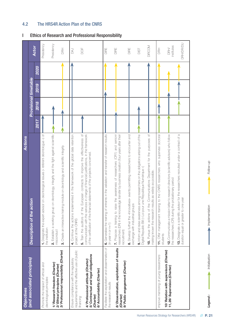| <b>Objectives</b>                                                                        | Actions                                                                                                                                                                                        |             |      |                              |      |                    |
|------------------------------------------------------------------------------------------|------------------------------------------------------------------------------------------------------------------------------------------------------------------------------------------------|-------------|------|------------------------------|------|--------------------|
| (and associated principles)                                                              | Description of the action                                                                                                                                                                      |             |      | <b>Provisional timetable</b> |      |                    |
|                                                                                          |                                                                                                                                                                                                | <b>Z017</b> | 2018 | 2019                         | 2020 | <b>Actor</b>       |
| Promote the respect of ethical and<br>deontological principles                           | 1. Designate the expert-advisor on deontological issues (« référent déontologue ») of<br>the institution                                                                                       |             |      |                              |      | Presidency         |
| 1/ Research freedom (Charter)<br>2/ Ethical principles (Charter)                         | group on deontology, integrity and the fight against scientific<br>2. Establish a working<br>misconduct                                                                                        |             |      |                              |      | Presidency         |
| 3/ Professional responsibility (Charter)                                                 | 3. Create an interactive training module on deontology and scientific integrity                                                                                                                |             |      |                              |      | HH<br>DRH          |
| requirements and the effective use of public<br>Ensure compliance with the regulatory    | is implemented in the framework of the global data retention<br>4. Continue the action<br>project at the CNRS                                                                                  |             |      |                              |      | <b>BAJ</b>         |
| 4/ Professional attitude (Charter)<br>financing                                          | of the European contracts to improve the effectiveness of<br>e services in charge of financial justifications, in the framework<br>communication with th<br>5. Train the auditors              |             |      |                              |      | DOF                |
| 5/ Contractual and legal obligations<br>6/ Accountability (Charter)<br>(Charter)         | of the certification of the financial statements of the projects concerned.                                                                                                                    |             |      |                              |      |                    |
| Facilitate the exploitation and dissemination of<br>the research results                 | ig of entrants in the validation and transfer of research results<br>6. Generalise the training<br>(in year n or n+1)                                                                          |             |      |                              |      | DIRE               |
| 8/ Dissemination, exploitation of results<br>9/ Public engagement (Charter)<br>(Charter) | to raise the awareness of researchers (CR1) and senionr<br>knowledge transfer by business creation (four years after their<br>7. Propose a training<br>researchers (DR) in the<br>recruitment) |             |      |                              |      | DIRE               |
|                                                                                          | «Innovatives» events permitting researchers to encounter and<br>exchange with industrial groups<br>8. Develop further the                                                                      |             |      |                              |      | DIRE               |
|                                                                                          | 9. Inform and raise awareness among researchers on the obligations arising out of the<br>Digital Republic Bill (« Loi pour une République Numérique »)                                         |             |      |                              |      | DIST               |
|                                                                                          | 10. Pursue the actions of the Communications Department for the purposes of<br>making known the research results as widely as possible.                                                        |             |      |                              |      | <b>DIRCOM</b>      |
| Improve mentoring of young researchers                                                   | 11. Offer management training to the CNRS researchers who supervise doctoral<br>students                                                                                                       |             |      |                              |      | 舌                  |
| 10/ Relation with supervisors (Charter)<br>11, 26/ Supervision (Charter)                 | 12. Communicate a mission letter to research directors (scientific advisors) who follow<br>the researchers (CR) during the probationary period                                                 |             |      |                              |      | institutes<br>DRH/ |
|                                                                                          | 13. Designate a scientific advisor for the researchers recruited under a contract of a<br>duration equal or greater to one year                                                                |             |      |                              |      | <b>DRH/DR/DU</b>   |

# 4.2 The HRS4R Action Plan of the CNRS

# I Ethics of Research and Professional Responsibility

Human Resources Strategy for Researchers (HRS4R) **// P. 21**

**Legend :** Initialisation Implementation Follow-up

Initialisation

Legend:

Implementation

Follow-up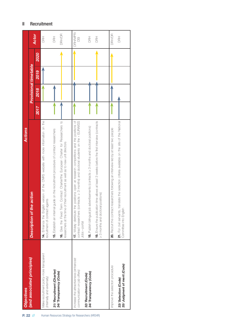| (and associated principles)                                             | <b>Actions</b>                                                                                                                                                                                        |      |      |                              |      |               |
|-------------------------------------------------------------------------|-------------------------------------------------------------------------------------------------------------------------------------------------------------------------------------------------------|------|------|------------------------------|------|---------------|
|                                                                         | Description of the action                                                                                                                                                                             |      |      | <b>Provisional timetable</b> |      |               |
|                                                                         |                                                                                                                                                                                                       | 2017 | 2018 | 2019                         | 2020 | <b>Actor</b>  |
| Make recruitment policy more transparent<br>(internally and externally) | 14. Enhance the English version of the CNRS website with more information on the<br>recruitment of contract agents                                                                                    |      |      |                              |      | HH<br>DRH     |
| 31/ Recruitment (Charter)                                               | 15. Establish an internal guide on the recruitment procedure of contract researchers                                                                                                                  |      |      |                              |      | <b>HH</b>     |
| 34/ Transparency (Code)                                                 | 16. Give the Fixed Term Contract Charter/the European Charter for Researchers to<br>researchers at the time of their recruitment as well as to new unit directors                                     |      |      |                              |      | DRH/DR        |
| Increase the attractiveness (enhanced<br>communication on job offers)   | contract researchers (contracts $\geq$ 3 months) and doctoral students on the « EURAXSS<br>positions open at research competitions and the positions of<br>17. Widely distribute the<br>Jobs » portal |      |      |                              |      | DRH/MPR/<br>g |
| 34/ Transparency (Code)<br>32/ Recruitment (Code)                       | 18. Publish bilingual job advertisements (contracts ≥ 3 months and doctoral positions)                                                                                                                |      |      |                              |      | <b>HH</b>     |
|                                                                         | 19. Ensure the publication time allows at least 3 weeks before the first interview (contracts<br>positions)<br>23 months and doctoral                                                                 |      |      |                              |      | BH<br>B       |
| Improve the selection procedure                                         | 20. Recruit the contract researchers following an interview led by at least two people                                                                                                                |      |      |                              |      | DRH/DR        |
| 35/ Judgment of merit (Code)<br>33/ Selection (Code)                    | 21. For civil servants, translate the selection criteria available on the site of the National<br>Committee into English                                                                              |      |      |                              |      | <b>HH</b>     |

# II Recruitment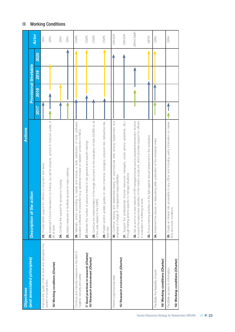| <b>Objectives</b>                                                               | Actions                                                                                                                                                                                                                                       |      |      |                       |      |                 |
|---------------------------------------------------------------------------------|-----------------------------------------------------------------------------------------------------------------------------------------------------------------------------------------------------------------------------------------------|------|------|-----------------------|------|-----------------|
| (and associated principles)                                                     | e action<br>Description of the                                                                                                                                                                                                                |      |      | Provisional timetable |      |                 |
|                                                                                 |                                                                                                                                                                                                                                               | 2017 | 2018 | 2019                  | 2020 | Actor           |
| Improve the quality of life at work and strengthen the                          | for officers on long-term sick leave<br>22. Provide better support                                                                                                                                                                            |      |      |                       |      | RH<br>ORH       |
| 16/ Working conditions (Charter)<br>system of social action                     | 23. Implement a fund intended to co-finance, by call for projects, actions to improve quality of<br>life at work                                                                                                                              |      |      |                       |      | 舌               |
|                                                                                 | 24. Continue the support for access to housing                                                                                                                                                                                                |      |      |                       |      | 舌               |
|                                                                                 | 25. Adopt measures to facilitate access to mass catering                                                                                                                                                                                      |      |      |                       |      | 舌               |
| Continue and intensify measures in the field of<br>hygiene, security and safety | 26. Maintain, enrich according to needs and ensure a wide distribution of tools (software,<br>education software) for prevention (e.g. additional module on radiation protection in NEO)                                                      |      |      |                       |      | CNPS            |
| 7/ Good practices in research (Charter)                                         | persons trained in risk (general and specific training)<br>27. Maintain the number of                                                                                                                                                         |      |      |                       |      | CNPS            |
| 15/ Research environment (Charter)                                              | 28. Continue the implementation of the single document on the evaluation of risks (DUER) on all<br>of the units related to the CNRS                                                                                                           |      |      |                       |      | CNPS            |
|                                                                                 | guides on risks (chemical, biological, pressure risk, radioactive risk,<br>29. Publish and/or update<br>laser risk)                                                                                                                           |      |      |                       |      | CNPS            |
| Prevent psychosocial risks                                                      | 30. Continue training and awareness-raising of psychosocial risks among researchers and<br>engineers in charge of management responsibilities                                                                                                 |      |      |                       |      | <b>DRH/DR</b>   |
| 15/ Research environment (Charter)                                              | 31. Support the professionals (human resources managers, social service assistants, etc.)<br>through training actions specific to manage situations                                                                                           |      |      |                       |      | <b>DRH/DR</b>   |
|                                                                                 | 32. Set up and run a new network of HR managers/social service assistants/prevertion doctors<br>peration of the medico-social unit, which provides support for officers<br>in a situation of suffering at work.<br>to ensure the responsive o |      |      |                       |      | <b>DRH/CNMP</b> |
|                                                                                 | 33. Pursue training activities on the fight against sexual harassment in the workplace                                                                                                                                                        |      |      |                       |      | NPDF            |
| Facilitate the flexibility of work                                              | on teleworking (after publication of the ministerial order).<br>34. Implement the decree                                                                                                                                                      |      |      |                       |      | BH<br>DRH       |
| 16/ Working conditions (Charter)                                                |                                                                                                                                                                                                                                               |      |      |                       |      |                 |
| Facilitate access to information                                                | accessible to any officer and including useful information on career,<br>35. Create an intranet site<br>time and work conditions.                                                                                                             |      |      |                       |      | BH<br>B         |
| 16/ Working conditions (Charter)                                                |                                                                                                                                                                                                                                               |      |      |                       |      |                 |

# III Working Conditions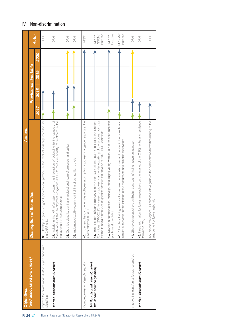| Objectives                                                           | <b>Actions</b>                                                                                                                                                                                                                                                                         |      |                       |      |      |                             |
|----------------------------------------------------------------------|----------------------------------------------------------------------------------------------------------------------------------------------------------------------------------------------------------------------------------------------------------------------------------------|------|-----------------------|------|------|-----------------------------|
| (and associated principles)                                          | Description of the action                                                                                                                                                                                                                                                              |      | Provisional timetable |      |      |                             |
|                                                                      |                                                                                                                                                                                                                                                                                        | 2017 | 2018                  | 2019 | 2020 | <b>Actor</b>                |
| Improve the professional situation of personnel with<br>disabilities | good professional practice in the field of disability intended for<br>36. Develop a guide of<br>the CNRS units                                                                                                                                                                         |      |                       |      |      | 舌                           |
| 14/ Non-discrimination (Charter)                                     | 37. Include in the HR information system, the information of belonging to the category of<br>"beneficiaries of the employment obligation" (BOE) to measure equality of treatment in the<br>management of human resources                                                               |      |                       |      |      | 舌                           |
|                                                                      | 38. Organise disability training for regional engineers of prevention and safety                                                                                                                                                                                                       |      |                       |      |      | 舌                           |
|                                                                      | 39. Implement disability recruitment training of competition panels                                                                                                                                                                                                                    |      |                       |      |      | 舌                           |
| Promote professional gender equality                                 | 40. Implement the comprehensive multi-year action plan for professional gender equality at the<br>CNRS adopted in 2014                                                                                                                                                                 |      |                       |      |      | NPDF                        |
| 14/ Non-discrimination (Charter)<br>19/ Gender balance (Charter)     | Committee (2016-2021) in issues of professional gender equality and the unconscious bias<br>41. Train all sections/interdisciplinary commissions (CD) of the new mandature of the National<br>related to social stereotypes of gender; continue the activities of the STRIDE Committee |      |                       |      |      | Institutes<br>SGOV<br>MPDF/ |
|                                                                      | 42. Develop a communication campaign encouraging young women to run for open research<br>positions at the CNRS                                                                                                                                                                         |      |                       |      |      | Institutes<br>MPDF/         |
|                                                                      | 43. Put in place training sessions to integrate the analysis of sex and gender in the projects and<br>content of research, for the intention of the researchers and scientific supervisors                                                                                             |      |                       |      |      | MPDF/MI/<br>Institutes      |
| Improve the induction of foreign researchers                         | 44. Give foreign researchers an English translation of their employment contract                                                                                                                                                                                                       |      |                       |      |      | 舌                           |
| 14/ Non-discrimination (Charter)                                     | 45. Insert information for foreign researchers on the intranet of the CNRS (entry and residence<br>formalities, etc.)                                                                                                                                                                  |      |                       |      |      | 舌                           |
|                                                                      | 46. Provide the regional HR services with a guide on the administrative formalities relating to the<br>employment of foreign nationals                                                                                                                                                 |      |                       |      |      | HH<br>BH                    |

# IV Non-discrimination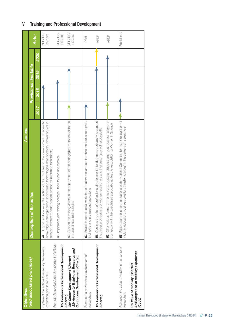| <b>Objectives</b>                                                                                                           | <b>Actions</b>                                                                                                                                                                                                                                                    |             |      |                       |             |                       |
|-----------------------------------------------------------------------------------------------------------------------------|-------------------------------------------------------------------------------------------------------------------------------------------------------------------------------------------------------------------------------------------------------------------|-------------|------|-----------------------|-------------|-----------------------|
| (and associated principles)                                                                                                 | Description of the action                                                                                                                                                                                                                                         |             |      | Provisional timetable |             |                       |
|                                                                                                                             |                                                                                                                                                                                                                                                                   | <b>2017</b> | 2018 | 2019                  | <b>2020</b> | <b>Actor</b>          |
| Implement the actions foreseen by the training<br>orientation plan 2015-2018                                                | 47. Support and develop the action of the institutes in the development of scientific<br>knowledge in strategic areas (scientific and technological developments, innovation, value-<br>creation, transfer of skills, specific actions for confirmed researchers) |             |      |                       |             | DRH/DR/<br>Institutes |
| Promote the professional development of officers<br>12/ Continuous Professional Development                                 | ng courses - face-to-face and remotely<br>48. Implement joint trainir                                                                                                                                                                                             |             |      |                       |             | DRH/DR/<br>Institutes |
| 22/ Access to Training in Research and<br>Continuous Development (Charter)<br>20/ Career Development (Charter)<br>(Charter) | actors in the deployment of the pedagogical methods related to<br>the use of new technologies<br>49. Support the training                                                                                                                                         |             |      |                       |             | DRH/DR/<br>Institutes |
| Support the professional development of<br>researchers                                                                      | tal workshops to allow researchers to reflect on their career path,<br>their skills and professional aspirations<br>50. Establish experiment                                                                                                                      |             |      |                       |             | RH<br>DR              |
| 12/ Continuous Professional Development<br>(Charter)                                                                        | 51. Continue the offers of professional development intended more particularly to support<br>of women researchers and their assumption of responsibility<br>the career progressions                                                                               |             |      |                       |             | <b>MPDF</b>           |
|                                                                                                                             | of mentoring to doctoral students and post-doctoral fellows in<br>connection with the specialised associations, like the Association for Women in Science<br>52. Offer various forms                                                                              |             |      |                       |             | <b>MPDF</b>           |
| Recognize the value of mobility in the career of<br>researchers                                                             | nong sections of the National Committee for better recognition of<br>ness creation, transfer activities) in the careers of researchers.<br>mobility (education, busir<br>53. Raise awareness am                                                                   |             |      |                       |             | Présidency            |
| 37/Recognition of mobility experience<br>21/Value of mobility (Charter)<br>(Code)                                           |                                                                                                                                                                                                                                                                   |             |      |                       |             |                       |

# V Training and Professional Development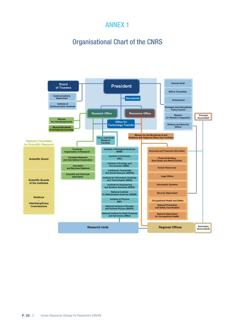# Organisational Chart of the CNRS

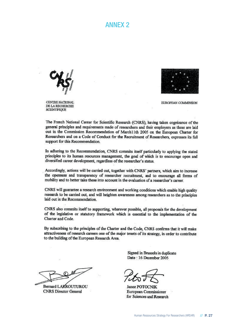

CENTRE NATIONAL DE LA RECHERCHE **SCIENTIFIOUE** 



**EUROPEAN COMMISSION** 

The French National Center for Scientific Research (CNRS), having taken cognizance of the general principles and requirements made of researchers and their employers as these are laid out in the Commission Recommendation of March11th 2005 on the European Charter for Researchers and on a Code of Conduct for the Recruitment of Researchers, expresses its full support for this Recommendation.

In adhering to the Recommendation, CNRS commits itself particularly to applying the stated principles to its human resources management, the goal of which is to encourage open and diversified career development, regardless of the researcher's status.

Accordingly, actions will be carried out, together with CNRS' partners, which aim to increase the openness and transparency of researcher recruitment, and to encourage all forms of mobility and to better take these into account in the evaluation of a researcher's career.

CNRS will guarantee a research environment and working conditions which enable high quality research to be carried out, and will heighten awareness among researchers as to the principles laid out in the Recommendation.

CNRS also commits itself to supporting, wherever possible, all proposals for the development of the legislative or statutory framework which is essential to the implementation of the Charter and Code.

By subscribing to the principles of the Charter and the Code, CNRS confirms that it will make attractiveness of research careers one of the major tenets of its strategy, in order to contribute to the building of the European Research Area.

Bernard LAKROUTUROU **CNRS** Director General

Signed in Brussels in duplicate Date: 16 December 2005

**Janez POTOCNIK** European Commissioner for Sciences and Research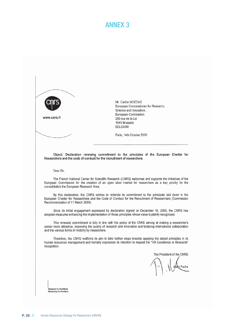

www.cnrs.fr

Mr. Carlos MOEDAS European Commissioner for Research, Science and Innovation, European Commission 200 rue de la Loi 1049 Brussels **BELGIUM** 

Paris, 14th October 2016

Object: Declaration renewing commitment to the principles of the European Charter for Researchers and the code of conduct for the recruitment of researchers.

Dear Sir,

The French National Center for Scientific Research (CNRS) welcomes and supports the initiatives of the European Commission for the creation of an open labor market for researchers as a key priority for the consolidation the European Research Area.

By this declaration, the CNRS wishes to reiterate its commitment to the principals laid down in the European Charter for Researchers and the Code of Conduct for the Recruitment of Researchers (Commission Recommendation of 11 March 2005).

Since its initial engagement expressed by declaration signed on December 16, 2005, the CNRS has adopted measures enhancing the implementation of those principles whose value is plainly recognized.

This renewed commitment is fully in line with the policy of the CNRS aiming at making a researcher's career more attractive, improving the quality of research and innovation and fostering international collaboration and the various forms of mobility by researchers.

Therefore, the CNRS reaffirms its aim to take further steps towards applying the stated principles in its human resources management and formally expresses its intention to request the "HR Excellence in Research" recognition.

The President of the CNRS

alin Fuchs

Dépasser les frontières Advancing the frontiers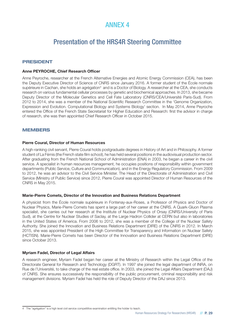# Presentation of the HRS4R Steering Committee

# **PRESIDENT**

## **Anne PEYROCHE, Chief Research Officer**

Anne Peyroche, researcher at the French Alternative Energies and Atomic Energy Commission (CEA), has been the Deputy Executive Director of Science of CNRS since January 2016. A former student of the École normale supérieure in Cachan, she holds an agrégation<sup>4</sup> and is a Doctor of Biology. A researcher at the CEA, she conducts research on various fundamental cellular processes by genetic and biochemical approaches. In 2013, she became Deputy Director of the Molecular Genetics and Cell Fate Laboratory (CNRS/CEA/Université Paris-Sud). From 2012 to 2014, she was a member of the National Scientific Research Committee in the 'Genome Organization, Expression and Evolution. Computational Biology and Systems Biology' section. In May 2014, Anne Peyroche entered the Office of the French State Secretariat for Higher Education and Research: first the advisor in charge of research, she was then appointed Chief Research Officer in October 2015.

## **MEMBERS**

#### **Pierre Coural, Director of Human Resources**

A high-ranking civil servant, Pierre Coural holds postgraduate degrees in History of Art and in Philosophy. A former student of La Fémis (the French state film school), he has held several positions in the audiovisual production sector. After graduating from the French National School of Administration (ENA) in 2003, he began a career in the civil service. A specialist in human resources management, he occupies positions of responsibility within government departments (Public Service, Culture and Communication), and in the Energy Regulatory Commission. From 2009 to 2012, he was an advisor to the Civil Service Minister. The Head of the Directorate of Administration and Civil Service (Ministry of Public Service) since 2012, Pierre Coural was appointed Director of Human Resources of the CNRS in May 2015.

#### **Marie-Pierre Comets, Director of the Innovation and Business Relations Department**

A physicist from the École normale supérieure in Fontenay-aux-Roses, a Professor of Physics and Doctor of Nuclear Physics, Marie-Pierre Comets has spent a large part of her career at the CNRS. A Quark-Gluon Plasma specialist, she carries out her research at the Institute of Nuclear Physics of Orsay (CNRS/University of Paris Sud), at the Centre for Nuclear Studies of Saclay, at the Large Hadron Collider at CERN but also in laboratories in the United States of America. From 2006 to 2012, she was a member of the College of the Nuclear Safety Authority. She joined the Innovation and Business Relations Department (DIRE) of the CNRS in 2012. In March 2015, she was appointed President of the High Committee for Transparency and Information on Nuclear Safety (HCTISN). Marie-Pierre Comets has been Director of the Innovation and Business Relations Department (DIRE) since October 2013.

## **Myriam Fadel, Director of Legal Affairs**

A research engineer, Myriam Fadel began her career at the Ministry of Research within the Legal Office of the Directorate General for Research and Technology (DGRT). In 1997 she joined the legal department of INRA, on Rue de l'Université, to take charge of the real estate office. In 2003, she joined the Legal Affairs Department (DAJ) of CNRS. She ensures successively the responsibility of the public procurement, criminal responsibility and risk management divisions. Myriam Fadel has held the role of Deputy Director of the DAJ since 2013.

<sup>4</sup> The "agrégation" is a high level civil service competititve examination entitling the holder to teach.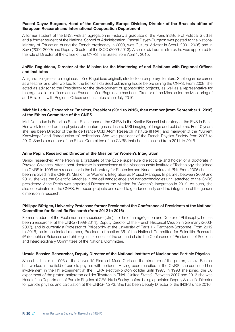## Pascal Dayez-Burgeon, Head of the Community Europe Division, Director of the Brussels office of **European Research and International Cooperation Department**

A former student of the ENS, with an agrégation in History, a graduate of the Paris Institute of Political Studies and a former student of the National School of Administration, Pascal Dayez-Burgeon was posted to the National Ministry of Education during the French presidency in 2000, was Cultural Advisor in Seoul (2001-2006) and in Suva (2006-2009) and Deputy Director of the ISCC (2009-2013). A senior civil administrator, he was appointed to the role of Director of the Office of the CNRS in Brussels from April 1, 2015.

## **Joëlle Raguideau, Director of the Mission for the Monitoring of and Relations with Regional Offices and Institutes**

A high-ranking research engineer, Joëlle Raguideau originally studied contemporary literature. She began her career as a teacher and later worked for the Éditions du Seuil publishing house before joining the CNRS. From 2008, she acted as advisor to the Presidency for the development of sponsorship projects, as well as a representative for the organisation's offices across France. Joëlle Raguideau has been Director of the Mission for the Monitoring of and Relations with Regional Offices and Institutes since July 2010.

## **Michèle Leduc, Researcher Emeritus, President (2011 to 2016), then member (from September 1, 2016) of the Ethics Committee of the CNRS**

Michèle Leduc is Emeritus Senior Researcher at the CNRS in the Kastler Brossel Laboratory at the ENS in Paris. Her work focused on the physics of quantum gases, lasers, MRI imaging of lungs and cold atoms. For 10 years she has been Director of the Ile de France Cold Atom Research Institute (IFRAF) and manager of the "Current Knowledge" and "Introduction to" collections. She was president of the French Physics Society from 2007 to 2010. She is a member of the Ethics Committee of the CNRS that she has chaired from 2011 to 2016.

## **Anne Pépin, Researcher, Director of the Mission for Women's Integration**

Senior researcher, Anne Pépin is a graduate of the École supérieure d'électricité and holder of a doctorate in Physical Sciences. After a post-doctorate in nanoscience at the Massachusetts Institute of Technology, she joined the CNRS in 1996 as a researcher in the Laboratory for Photonics and Nanostructures (LPN). From 2006 she has been involved in the CNRS's Mission for Women's Integration as Project Manager. In parallel, between 2009 and 2012, she was the Scientific Attachée in the cell nanoscience and nanotechnologies unit, attached to the CNRS presidency. Anne Pépin was appointed Director of the Mission for Women's Integration in 2012. As such, she also coordinates for the CNRS, European projects dedicated to gender equality and the integration of the gender dimension in research.

## **Philippe Büttgen, University Professor, former President of the Conference of Presidents of the National Committee for Scientific Research (from 2012 to 2016)**

Former student of the Ecole normale supérieure (Ulm), holder of an agrégation and Doctor of Philosophy, he has been a researcher at the CNRS (1999-2011), Deputy Director of the French Historical Mission in Germany (2003- 2007), and is currently a Professor of Philosophy at the University of Paris 1 - Panthéon-Sorbonne. From 2012 to 2016, he is an elected member, President of section 35 of the National Committee for Scientific Research (Philosophical Sciences and philological, sciences of the art) and chairs the Conference of Presidents of Sections and Interdisciplinary Committees of the National Committee.

## **Ursula Bassler, Researcher, Deputy Director of the National Institute of Nuclear and Particle Physics**

Since her thesis in 1993 at the Université Pierre et Marie Curie on the structure of the proton, Ursula Bassler has worked in the field of particle physics with colliders. Having been recruited at the CNRS, she continued her involvement in the H1 experiment at the HERA electron-proton collider until 1997. In 1998 she joined the D0 experiment of the proton-antiproton collider Tevatron in FNAL (United States). Between 2007 and 2013 she was Head of the Department of Particle Physics at CEA-Irfu in Saclay, before being appointed Deputy Scientific Director for particle physics and calculation at the CNRS-IN2P3. She has been Deputy Director of the IN2P3 since 2016.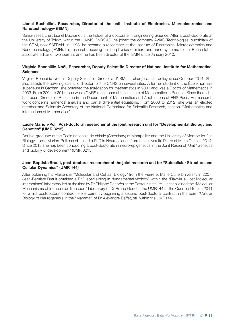## **Lionel Buchaillot, Researcher, Director of the unit «Institute of Electronics, Microelectronics and Nanotechnology» (IEMN)**

Senior researcher, Lionel Buchaillot is the holder of a doctorate in Engineering Science. After a post-doctorate at the University of Tokyo, within the LIMMS CNRS-IIS, he joined the company AVIAC Technologies, subsidiary of the SFIM, now SAFRAN. In 1998, he became a researcher at the Institute of Electronics, Microelectronics and Nanotechnology (IEMN), his research focusing on the physics of micro and nano systems. Lionel Buchaillot is associate editor of two journals and he has been director of the IEMN since January 2010.

## Virginie Bonnaillie-Noël, Researcher, Deputy Scientific Director of National Institute for Mathematical **Sciences**

Virginie Bonnaillie-Noël is Deputy Scientific Director at INSMI, in charge of site policy since October 2014. She also assists the advising scientific director for the CNRS on several sites. A former student of the École normale supérieure in Cachan, she obtained the agrégation for mathematics in 2000 and was a Doctor of Mathematics in 2003. From 2004 to 2014, she was a CNRS researcher at the Institute of Mathematics in Rennes. Since then, she has been Director of Research in the Department of Mathematics and Applications at ENS Paris. Her research work concerns numerical analysis and partial differential equations. From 2008 to 2012, she was an elected member and Scientific Secretary of the National Committee for Scientific Research, section "Mathematics and interactions of Mathematics".

## **Lucile Marion-Poll, Post-doctoral researcher at the joint research unit for "Developmental Biology and Genetics" (UMR 3215)**

Double-graduate of the Ecole nationale de chimie (Chemistry) of Montpellier and the University of Montpellier 2 in Biology, Lucile Marion-Poll has obtained a PhD in Neuroscience from the Université Pierre et Marie Curie in 2014. Since 2015 she has been conducting a post-doctorate in neuro-epigenetics in the Joint Research Unit "Genetics and biology of development" (UMR 3215).

## **Jean-Baptiste Brault, post-doctoral researcher at the joint research unit for "Subcellular Structure and Cellular Dynamics" (UMR 144)**

After obtaining his Masters in "Molecular and Cellular Biology" from the Pierre et Marie Curie University in 2007, Jean-Baptiste Brault obtained a PhD specialising in "fundamental virology" within the "Flavivirus-Host Molecular Interactions" laboratory led at the time by Dr Philippe Desprès at the Pasteur Institute. He then joined the "Molecular Mechanisms of Intracellular Transport" laboratory of Dr Bruno Goud in the UMR144 at the Curie Institute in 2011 for a first postdoctoral contract. He is currently beginning a second post-doctoral contract in the team "Cellular Biology of Neurogenesis in the "Mammal" of Dr Alexandre Baffet, still within the UMR144.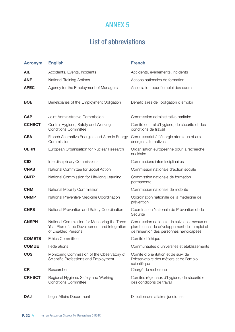# List of abbreviations

| <b>Acronym</b> | <b>English</b>                                                                                                       | <b>French</b>                                                                                                                             |
|----------------|----------------------------------------------------------------------------------------------------------------------|-------------------------------------------------------------------------------------------------------------------------------------------|
| <b>AIE</b>     | Accidents, Events, Incidents                                                                                         | Accidents, évènements, incidents                                                                                                          |
| <b>ANF</b>     | <b>National Training Actions</b>                                                                                     | Actions nationales de formation                                                                                                           |
| <b>APEC</b>    | Agency for the Employment of Managers                                                                                | Association pour l'emploi des cadres                                                                                                      |
| <b>BOE</b>     | Beneficiaries of the Employment Obligation                                                                           | Bénéficiaires de l'obligation d'emploi                                                                                                    |
| <b>CAP</b>     | Joint Administrative Commission                                                                                      | Commission administrative paritaire                                                                                                       |
| <b>CCHSCT</b>  | Central Hygiene, Safety and Working<br><b>Conditions Committee</b>                                                   | Comité central d'hygiène, de sécurité et des<br>conditions de travail                                                                     |
| <b>CEA</b>     | French Alternative Energies and Atomic Energy<br>Commission                                                          | Commissariat à l'énergie atomique et aux<br>énergies alternatives                                                                         |
| <b>CERN</b>    | European Organisation for Nuclear Research                                                                           | Organisation européenne pour la recherche<br>nucléaire                                                                                    |
| <b>CID</b>     | Interdisciplinary Commissions                                                                                        | Commissions interdisciplinaires                                                                                                           |
| <b>CNAS</b>    | National Committee for Social Action                                                                                 | Commission nationale d'action sociale                                                                                                     |
| <b>CNFP</b>    | National Commission for Life-long Learning                                                                           | Commission nationale de formation<br>permanente                                                                                           |
| <b>CNM</b>     | National Mobility Commission                                                                                         | Commission nationale de mobilité                                                                                                          |
| <b>CNMP</b>    | National Preventive Medicine Coordination                                                                            | Coordination nationale de la médecine de<br>prévention                                                                                    |
| <b>CNPS</b>    | National Prevention and Safety Coordination                                                                          | Coordination Nationale de Prévention et de<br>Sécurité                                                                                    |
| <b>CNSPH</b>   | National Commission for Monitoring the Three-<br>Year Plan of Job Development and Integration<br>of Disabled Persons | Commission nationale de suivi des travaux du<br>plan triennal de développement de l'emploi et<br>de l'insertion des personnes handicapées |
| <b>COMETS</b>  | <b>Ethics Committee</b>                                                                                              | Comité d'éthique                                                                                                                          |
| <b>COMUE</b>   | Federations                                                                                                          | Communautés d'universités et établissements                                                                                               |
| <b>COS</b>     | Monitoring Commission of the Observatory of<br>Scientific Professions and Employment                                 | Comité d'orientation et de suivi de<br>l'observatoire des métiers et de l'emploi<br>scientifique                                          |
| <b>CR</b>      | Researcher                                                                                                           | Chargé de recherche                                                                                                                       |
| <b>CRHSCT</b>  | Regional Hygiene, Safety and Working<br><b>Conditions Committee</b>                                                  | Comités régionaux d'hygiène, de sécurité et<br>des conditions de travail                                                                  |
| <b>DAJ</b>     | Legal Affairs Department                                                                                             | Direction des affaires juridiques                                                                                                         |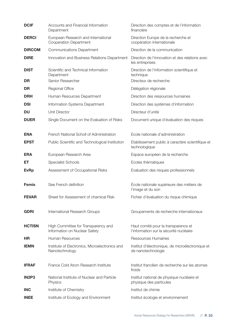| <b>DCIF</b>                    | Accounts and Financial Information<br>Department                     | Direction des comptes et de l'information<br>financière                        |
|--------------------------------|----------------------------------------------------------------------|--------------------------------------------------------------------------------|
| <b>DERCI</b>                   | European Research and International<br>Cooperation Department        | Direction Europe de la recherche et<br>coopération internationale              |
| <b>DIRCOM</b>                  | <b>Communications Department</b>                                     | Direction de la communication                                                  |
| <b>DIRE</b>                    | Innovation and Business Relations Department                         | Direction de l'innovation et des relations avec<br>les entreprises             |
| <b>DIST</b>                    | Scientific and Technical Information<br>Department                   | Direction de l'information scientifique et<br>technique                        |
| DR                             | Senior Researcher                                                    | Directeur de recherche                                                         |
| DR                             | Regional Office                                                      | Délégation régionale                                                           |
| <b>DRH</b>                     | Human Resources Department                                           | Direction des ressources humaines                                              |
| <b>DSI</b>                     | Information Systems Department                                       | Direction des systèmes d'information                                           |
| <b>DU</b>                      | <b>Unit Director</b>                                                 | Directeur d'unité                                                              |
| <b>DUER</b>                    | Single Document on the Evaluation of Risks                           | Document unique d'évaluation des risques                                       |
| <b>ENA</b>                     | French National Scholl of Administration                             | Ecole nationale d'administration                                               |
| <b>EPST</b>                    | Public Scientific and Technological Institution                      | Etablissement public à caractère scientifique et<br>technologique              |
| <b>ERA</b>                     | European Research Area                                               | Espace européen de la recherche                                                |
| ET                             | <b>Specialist Schools</b>                                            | Ecoles thématiques                                                             |
| <b>EvRp</b>                    | Assessment of Occupational Risks                                     | Evaluation des risques professionnels                                          |
| <b>Femis</b>                   | See French definition                                                | École nationale supérieure des métiers de<br>l'image et du son                 |
| <b>FEVAR</b>                   | Sheet for Assessment of chamical Risk                                | Fichier d'évaluation du risque chimique                                        |
| <b>GDRI</b>                    | International Research Groups                                        | Groupements de recherche internationaux                                        |
| <b>HCTISN</b>                  | High Committee for Transparency and<br>Information on Nuclear Safety | Haut comité pour la transparence et<br>l'information sur la sécurité nucléaire |
| <b>HR</b>                      | Human Resources                                                      | <b>Ressources Humaines</b>                                                     |
| <b>IEMN</b>                    | Institute of Electronics, Microelectronics and<br>Nanotechnology     | Institut d'électronique, de microélectronique et<br>de nanotechnologie         |
| <b>IFRAF</b>                   | France Cold Atom Research Institute                                  | Institut francilien de recherche sur les atomes<br>froids                      |
| IN <sub>2</sub> P <sub>3</sub> | National Institute of Nuclear and Particle<br>Physics                | Institut national de physique nucléaire et<br>physique des particules          |
| <b>INC</b>                     | Institute of Chemistry                                               | Institut de chimie                                                             |
| <b>INEE</b>                    | Institute of Ecology and Environment                                 | Institut écologie et environnement                                             |